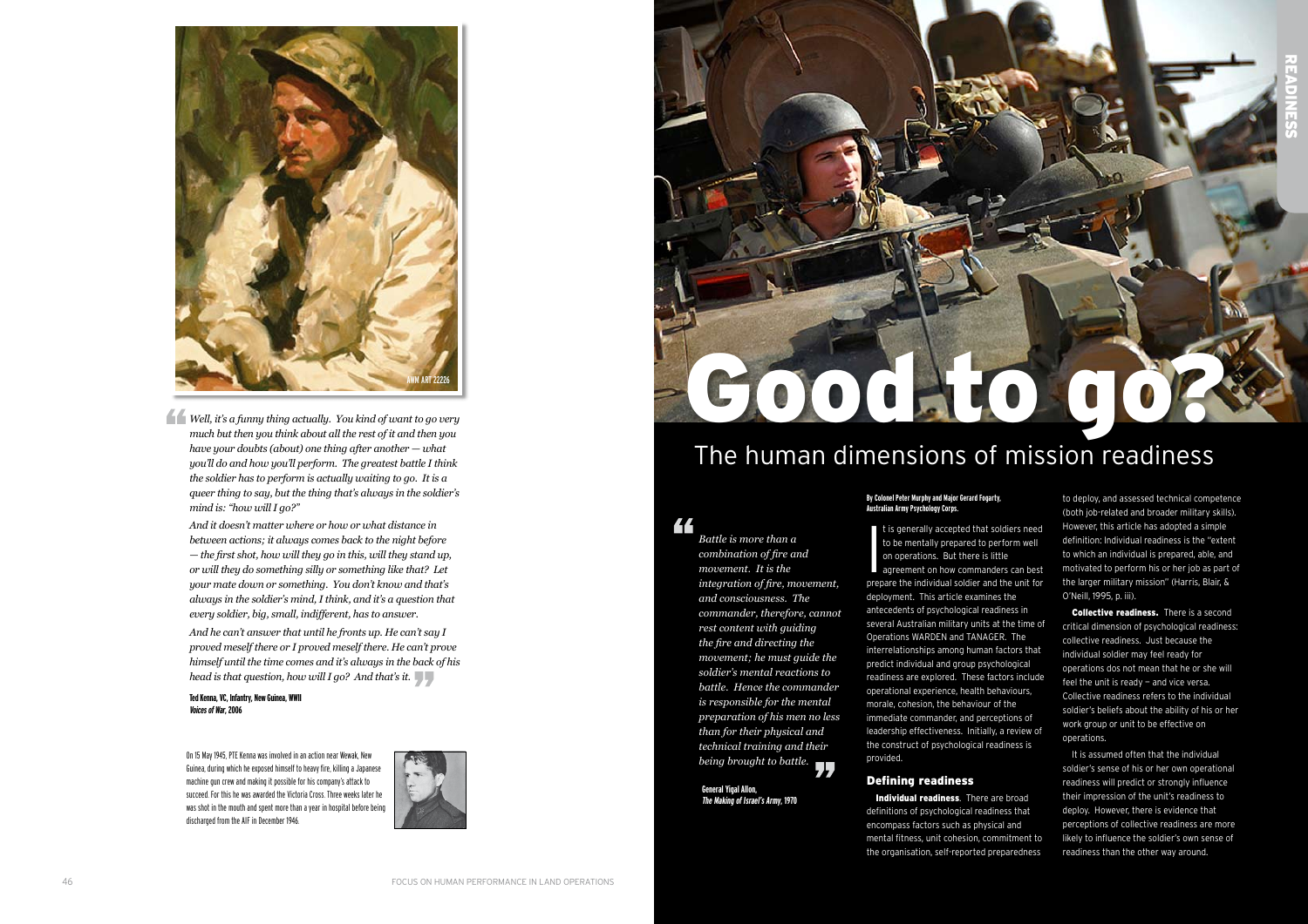### **By Colonel Peter Murphy and Major Gerard Fogarty, Australian Army Psychology Corps.**

It is generally accepted that soldiers need<br>to be mentally prepared to perform well<br>on operations. But there is little<br>agreement on how commanders can best<br>prepare the individual soldier and the unit for t is generally accepted that soldiers need to be mentally prepared to perform well on operations. But there is little agreement on how commanders can best deployment. This article examines the antecedents of psychological readiness in several Australian military units at the time of Operations WARDEN and TANAGER. The interrelationships among human factors that predict individual and group psychological readiness are explored. These factors include operational experience, health behaviours, morale, cohesion, the behaviour of the immediate commander, and perceptions of leadership effectiveness. Initially, a review of the construct of psychological readiness is provided.

Individual readiness. There are broad definitions of psychological readiness that encompass factors such as physical and mental fitness, unit cohesion, commitment to the organisation, self-reported preparedness

# Defining readiness

Collective readiness. There is a second critical dimension of psychological readiness: collective readiness. Just because the individual soldier may feel ready for operations dos not mean that he or she will feel the unit is ready  $-$  and vice versa. Collective readiness refers to the individual soldier's beliefs about the ability of his or her work group or unit to be effective on operations.

to deploy, and assessed technical competence (both job-related and broader military skills). However, this article has adopted a simple definition: Individual readiness is the "extent to which an individual is prepared, able, and motivated to perform his or her job as part of the larger military mission" (Harris, Blair, & O'Neill, 1995, p. iii).

44 *Battle is more than a combination of fire and movement. It is the integration of fire, movement, and consciousness. The commander, therefore, cannot rest content with guiding the fire and directing the movement; he must guide the soldier's mental reactions to battle. Hence the commander is responsible for the mental preparation of his men no less than for their physical and technical training and their being brought to battle.*

It is assumed often that the individual soldier's sense of his or her own operational readiness will predict or strongly influence their impression of the unit's readiness to deploy. However, there is evidence that perceptions of collective readiness are more likely to influence the soldier's own sense of readiness than the other way around.



# The human dimensions of mission readiness

**General Yigal Allon, The Making of Israel's Army, 1970**

*Well, it's a funny thing actually. You kind of want to go very much but then you think about all the rest of it and then you have your doubts (about) one thing after another — what you'll do and how you'll perform. The greatest battle I think the soldier has to perform is actually waiting to go. It is a queer thing to say, but the thing that's always in the soldier's mind is: "how will I go?"* 

*And it doesn't matter where or how or what distance in between actions; it always comes back to the night before — the first shot, how will they go in this, will they stand up, or will they do something silly or something like that? Let your mate down or something. You don't know and that's always in the soldier's mind, I think, and it's a question that every soldier, big, small, indifferent, has to answer.* 

*And he can't answer that until he fronts up. He can't say I proved meself there or I proved meself there. He can't prove himself until the time comes and it's always in the back of his head is that question, how will I go? And that's it.*

**Ted Kenna, VC, Infantry, New Guinea, WWII Voices of War, 2006**

On 15 May 1945, PTE Kenna was involved in an action near Wewak, New Guinea, during which he exposed himself to heavy fire, killing a Japanese machine gun crew and making it possible for his company's attack to succeed. For this he was awarded the Victoria Cross. Three weeks later he was shot in the mouth and spent more than a year in hospital before being discharged from the AIF in December 1946.



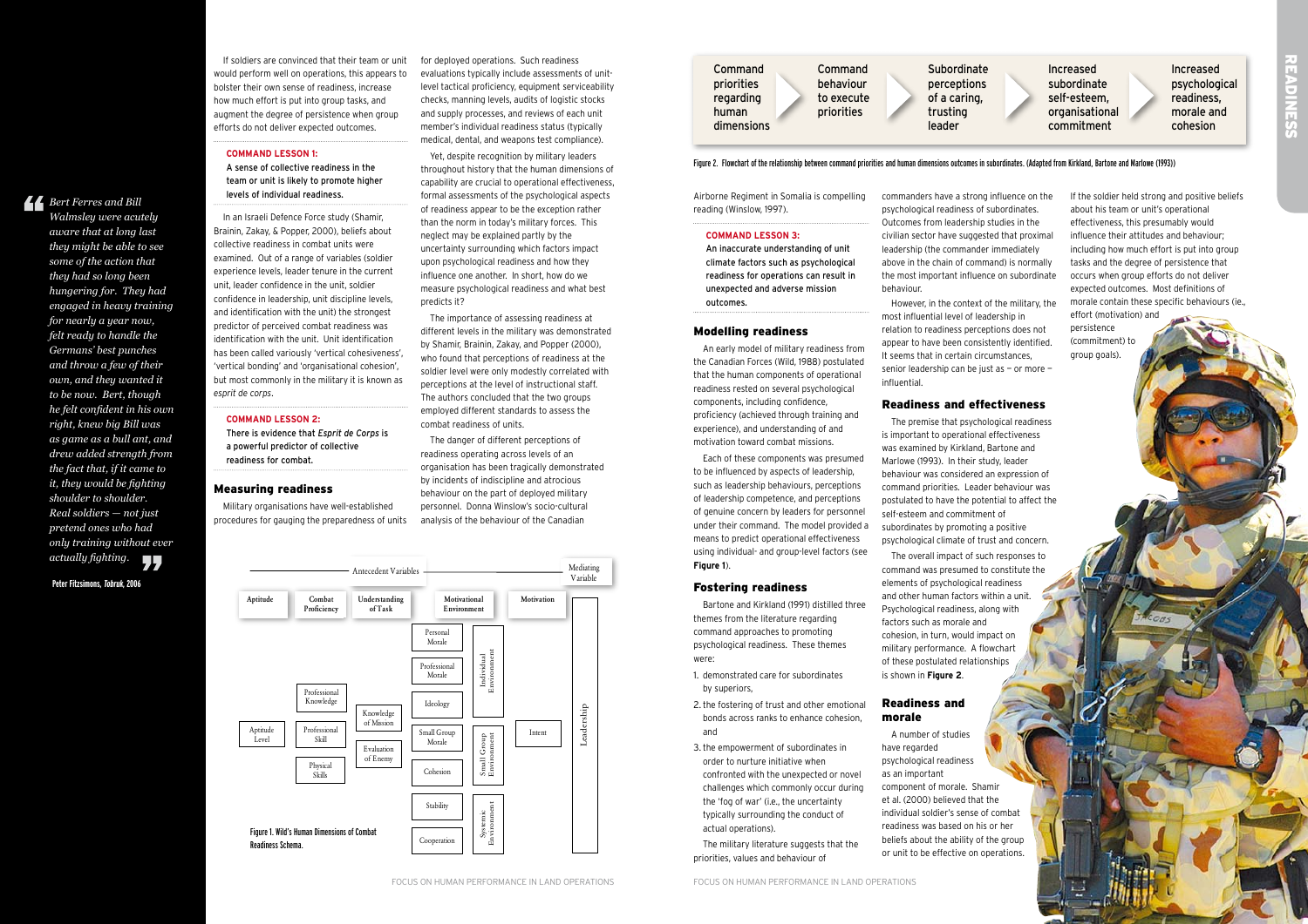Airborne Regiment in Somalia is compelling reading (Winslow, 1997).

### **Command Lesson 3:**

An inaccurate understanding of unit climate factors such as psychological readiness for operations can result in unexpected and adverse mission outcomes.

### Modelling readiness

An early model of military readiness from the Canadian Forces (Wild, 1988) postulated that the human components of operational readiness rested on several psychological components, including confidence, proficiency (achieved through training and experience), and understanding of and motivation toward combat missions.

- 1. demonstrated care for subordinates by superiors,
- 2. the fostering of trust and other emotional bonds across ranks to enhance cohesion, and
- 3. the empowerment of subordinates in order to nurture initiative when confronted with the unexpected or novel challenges which commonly occur during the 'fog of war' (i.e., the uncertainty typically surrounding the conduct of actual operations).
- The military literature suggests that the priorities, values and behaviour of

Each of these components was presumed to be influenced by aspects of leadership, such as leadership behaviours, perceptions of leadership competence, and perceptions of genuine concern by leaders for personnel under their command. The model provided a means to predict operational effectiveness using individual- and group-level factors (see **Figure 1**).

### Fostering readiness

Bartone and Kirkland (1991) distilled three themes from the literature regarding command approaches to promoting psychological readiness. These themes were:

commanders have a strong influence on the psychological readiness of subordinates. Outcomes from leadership studies in the civilian sector have suggested that proximal leadership (the commander immediately above in the chain of command) is normally the most important influence on subordinate behaviour.

However, in the context of the military, the most influential level of leadership in relation to readiness perceptions does not appear to have been consistently identified. It seems that in certain circumstances, senior leadership can be just as — or more influential.

## Readiness and effectiveness

The premise that psychological readiness is important to operational effectiveness was examined by Kirkland, Bartone and Marlowe (1993). In their study, leader behaviour was considered an expression of command priorities. Leader behaviour was postulated to have the potential to affect the self-esteem and commitment of subordinates by promoting a positive psychological climate of trust and concern. The overall impact of such responses to command was presumed to constitute the

elements of psychological readiness and other human factors within a unit. Psychological readiness, along with factors such as morale and cohesion, in turn, would impact on military performance. A flowchart of these postulated relationships is shown in **Figure 2**.

### Readiness and morale

A number of studies have regarded psychological readiness as an important component of morale. Shamir et al. (2000) believed that the individual soldier's sense of combat readiness was based on his or her beliefs about the ability of the group or unit to be effective on operations.



and Subordinate **Increased** Increased priorities behaviour perceptions subordinate psychological que self-esteem, and the caring of a caring, self-esteem, and the carriers, readiness, es and trusting organisational morale and leader commitment cohesion



# Repressed<br>Readings

If the soldier held strong and positive beliefs about his team or unit's operational effectiveness, this presumably would influence their attitudes and behaviour; including how much effort is put into group tasks and the degree of persistence that occurs when group efforts do not deliver expected outcomes. Most definitions of morale contain these specific behaviours (ie., effort (motivation) and persistence (commitment) to group goals).

### Figure 2. Flowchart of the relationship between command priorities and human dimensions outcomes in subordinates. (Adapted from Kirkland, Bartone and Marlowe (1993))

If soldiers are convinced that their team or unit would perform well on operations, this appears to bolster their own sense of readiness, increase how much effort is put into group tasks, and augment the degree of persistence when group efforts do not deliver expected outcomes.

# **Command Lesson 1:** A sense of collective readiness in the

team or unit is likely to promote higher levels of individual readiness.

In an Israeli Defence Force study (Shamir, Brainin, Zakay, & Popper, 2000), beliefs about collective readiness in combat units were examined. Out of a range of variables (soldier experience levels, leader tenure in the current unit, leader confidence in the unit, soldier confidence in leadership, unit discipline levels, and identification with the unit) the strongest predictor of perceived combat readiness was identification with the unit. Unit identification has been called variously 'vertical cohesiveness', 'vertical bonding' and 'organisational cohesion', but most commonly in the military it is known as *esprit de corps*.

### **Command Lesson 2:**

There is evidence that *Esprit de Corps* is a powerful predictor of collective readiness for combat.

### Measuring readiness

Military organisations have well-established procedures for gauging the preparedness of units for deployed operations. Such readiness evaluations typically include assessments of unitlevel tactical proficiency, equipment serviceability checks, manning levels, audits of logistic stocks and supply processes, and reviews of each unit member's individual readiness status (typically medical, dental, and weapons test compliance).

Yet, despite recognition by military leaders throughout history that the human dimensions of capability are crucial to operational effectiveness, formal assessments of the psychological aspects of readiness appear to be the exception rather than the norm in today's military forces. This neglect may be explained partly by the uncertainty surrounding which factors impact upon psychological readiness and how they influence one another. In short, how do we measure psychological readiness and what best predicts it?

The importance of assessing readiness at different levels in the military was demonstrated by Shamir, Brainin, Zakay, and Popper (2000), who found that perceptions of readiness at the soldier level were only modestly correlated with perceptions at the level of instructional staff. The authors concluded that the two groups employed different standards to assess the combat readiness of units.

The danger of different perceptions of readiness operating across levels of an organisation has been tragically demonstrated by incidents of indiscipline and atrocious behaviour on the part of deployed military personnel. Donna Winslow's socio-cultural analysis of the behaviour of the Canadian

*Bert Ferres and Bill* 

*Walmsley were acutely aware that at long last they might be able to see some of the action that they had so long been hungering for. They had engaged in heavy training for nearly a year now, felt ready to handle the Germans' best punches and throw a few of their own, and they wanted it to be now. Bert, though he felt confident in his own right, knew big Bill was as game as a bull ant, and drew added strength from the fact that, if it came to it, they would be fighting shoulder to shoulder. Real soldiers — not just pretend ones who had only training without ever actually fighting.*



| Command           | Comma     |
|-------------------|-----------|
| <b>priorities</b> | behavic   |
| egarding          | to exec   |
| าuman             | prioritie |
| dimensions        |           |

**Peter Fitzsimons, Tobruk, 2006**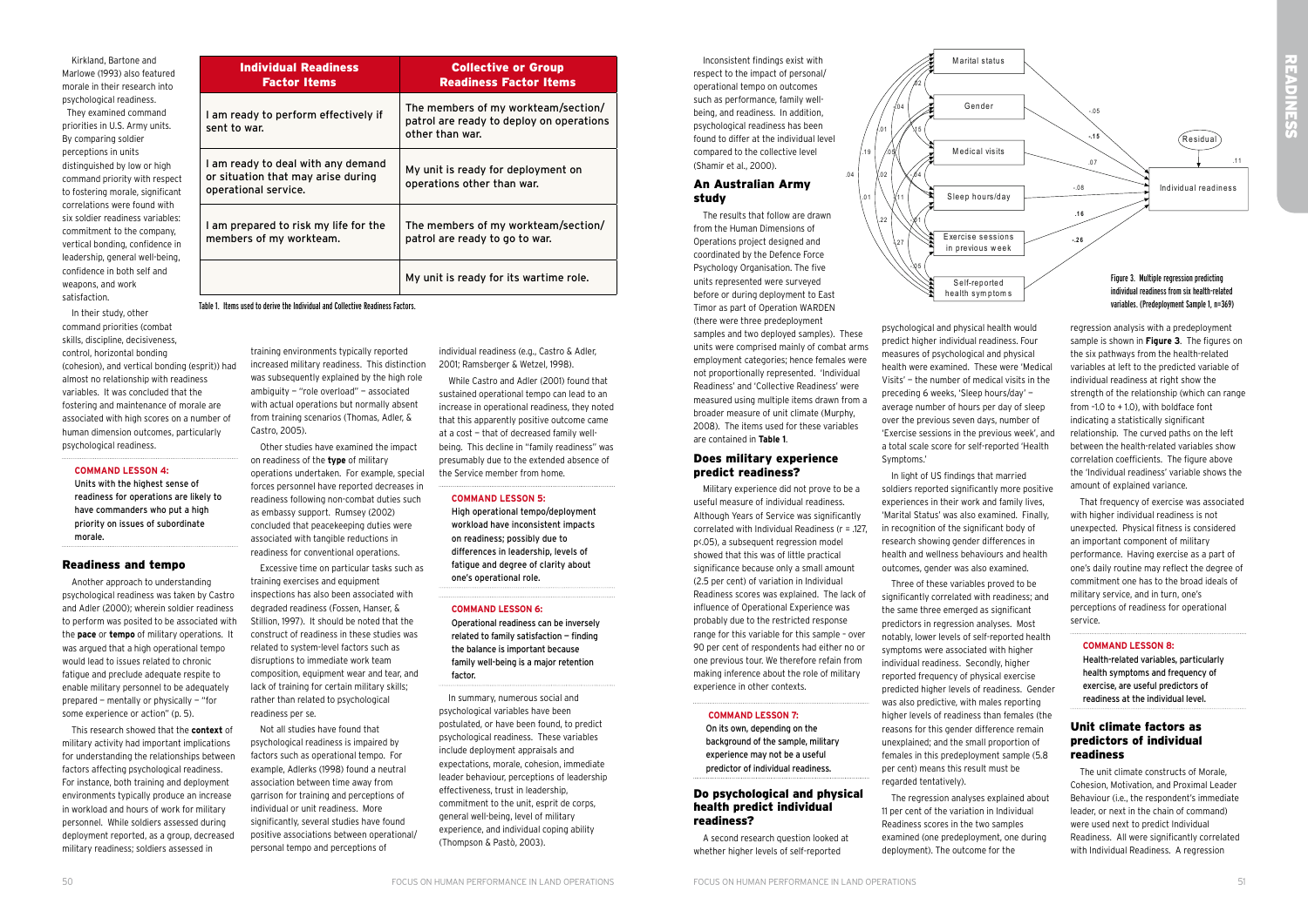Inconsistent findings exist with respect to the impact of personal/ operational tempo on outcomes such as performance, family wellbeing, and readiness. In addition, psychological readiness has been found to differ at the individual level compared to the collective level (Shamir et al., 2000).

 $.04$ 

### An Australian Army study

The results that follow are drawn from the Human Dimensions of Operations project designed and coordinated by the Defence Force Psychology Organisation. The five units represented were surveyed before or during deployment to East Timor as part of Operation WARDEN (there were three predeployment

samples and two deployed samples). These units were comprised mainly of combat arms employment categories; hence females were not proportionally represented. 'Individual Readiness' and 'Collective Readiness' were measured using multiple items drawn from a broader measure of unit climate (Murphy, 2008). The items used for these variables are contained in **Table 1**.

### Does military experience predict readiness?

Military experience did not prove to be a useful measure of individual readiness. Although Years of Service was significantly correlated with Individual Readiness (r = .127, p<.05), a subsequent regression model showed that this was of little practical significance because only a small amount (2.5 per cent) of variation in Individual Readiness scores was explained. The lack of influence of Operational Experience was probably due to the restricted response range for this variable for this sample – over 90 per cent of respondents had either no or one previous tour. We therefore refain from making inference about the role of military experience in other contexts.

### **Command Lesson 7:**

On its own, depending on the background of the sample, military experience may not be a useful predictor of individual readiness.

### Do psychological and physical health predict individual readiness?

A second research question looked at whether higher levels of self-reported

psychological and physical health would predict higher individual readiness. Four measures of psychological and physical health were examined. These were 'Medical Visits' — the number of medical visits in the preceding 6 weeks, 'Sleep hours/day' average number of hours per day of sleep over the previous seven days, number of 'Exercise sessions in the previous week', and a total scale score for self-reported 'Health Symptoms.'

In light of US findings that married soldiers reported significantly more positive experiences in their work and family lives, 'Marital Status' was also examined. Finally, in recognition of the significant body of research showing gender differences in health and wellness behaviours and health outcomes, gender was also examined. Three of these variables proved to be

significantly correlated with readiness; and the same three emerged as significant predictors in regression analyses. Most notably, lower levels of self-reported health symptoms were associated with higher individual readiness. Secondly, higher reported frequency of physical exercise predicted higher levels of readiness. Gender was also predictive, with males reporting higher levels of readiness than females (the reasons for this gender difference remain unexplained; and the small proportion of females in this predeployment sample (5.8 per cent) means this result must be regarded tentatively).

The regression analyses explained about 11 per cent of the variation in Individual Readiness scores in the two samples examined (one predeployment, one during deployment). The outcome for the

regression analysis with a predeployment sample is shown in **Figure 3**. The figures on the six pathways from the health-related variables at left to the predicted variable of individual readiness at right show the strength of the relationship (which can range from –1.0 to + 1.0), with boldface font indicating a statistically significant relationship. The curved paths on the left between the health-related variables show correlation coefficients. The figure above the 'Individual readiness' variable shows the amount of explained variance.

That frequency of exercise was associated with higher individual readiness is not unexpected. Physical fitness is considered an important component of military performance. Having exercise as a part of one's daily routine may reflect the degree of commitment one has to the broad ideals of military service, and in turn, one's perceptions of readiness for operational service.

### **Command Lesson 8:**

Health-related variables, particularly health symptoms and frequency of exercise, are useful predictors of readiness at the individual level.

## Unit climate factors as predictors of individual readiness

The unit climate constructs of Morale, Cohesion, Motivation, and Proximal Leader Behaviour (i.e., the respondent's immediate leader, or next in the chain of command) were used next to predict Individual Readiness. All were significantly correlated with Individual Readiness. A regression



Kirkland, Bartone and Marlowe (1993) also featured morale in their research into psychological readiness. They examined command priorities in U.S. Army units. By comparing soldier perceptions in units distinguished by low or high command priority with respect to fostering morale, significant correlations were found with six soldier readiness variables: commitment to the company, vertical bonding, confidence in leadership, general well-being, confidence in both self and weapons, and work satisfaction.

In their study, other command priorities (combat skills, discipline, decisiveness, control, horizontal bonding (cohesion), and vertical bonding (esprit)) had almost no relationship with readiness variables. It was concluded that the fostering and maintenance of morale are associated with high scores on a number of human dimension outcomes, particularly psychological readiness.

### **Command Lesson 4:**

Units with the highest sense of readiness for operations are likely to have commanders who put a high priority on issues of subordinate morale.

### Readiness and tempo

Another approach to understanding psychological readiness was taken by Castro and Adler (2000); wherein soldier readiness to perform was posited to be associated with the **pace** or **tempo** of military operations. It was argued that a high operational tempo would lead to issues related to chronic fatigue and preclude adequate respite to enable military personnel to be adequately prepared — mentally or physically — "for some experience or action" (p. 5).

This research showed that the **context** of military activity had important implications for understanding the relationships between factors affecting psychological readiness. For instance, both training and deployment environments typically produce an increase in workload and hours of work for military personnel. While soldiers assessed during deployment reported, as a group, decreased military readiness; soldiers assessed in

training environments typically reported increased military readiness. This distinction 2001; Ramsberger & Wetzel, 1998). was subsequently explained by the high role ambiguity — "role overload" — associated with actual operations but normally absent from training scenarios (Thomas, Adler, & Castro, 2005).

Other studies have examined the impact on readiness of the **type** of military operations undertaken. For example, special forces personnel have reported decreases in readiness following non-combat duties such as embassy support. Rumsey (2002) concluded that peacekeeping duties were associated with tangible reductions in readiness for conventional operations.

Excessive time on particular tasks such as training exercises and equipment inspections has also been associated with degraded readiness (Fossen, Hanser, & Stillion, 1997). It should be noted that the construct of readiness in these studies was related to system-level factors such as disruptions to immediate work team composition, equipment wear and tear, and lack of training for certain military skills; rather than related to psychological readiness per se.

Not all studies have found that psychological readiness is impaired by factors such as operational tempo. For example, Adlerks (1998) found a neutral association between time away from garrison for training and perceptions of individual or unit readiness. More significantly, several studies have found positive associations between operational/ personal tempo and perceptions of

individual readiness (e.g., Castro & Adler,

While Castro and Adler (2001) found that sustained operational tempo can lead to an increase in operational readiness, they noted that this apparently positive outcome came at a cost — that of decreased family wellbeing. This decline in "family readiness" was presumably due to the extended absence of the Service member from home.

### **Command Lesson 5:**

High operational tempo/deployment workload have inconsistent impacts on readiness; possibly due to differences in leadership, levels of fatigue and degree of clarity about one's operational role.

### **Command Lesson 6:**

Operational readiness can be inversely related to family satisfaction — finding the balance is important because family well-being is a major retention factor.

In summary, numerous social and psychological variables have been postulated, or have been found, to predict psychological readiness. These variables include deployment appraisals and expectations, morale, cohesion, immediate leader behaviour, perceptions of leadership effectiveness, trust in leadership, commitment to the unit, esprit de corps, general well-being, level of military experience, and individual coping ability (Thompson & Pastò, 2003).

| <b>Individual Readiness</b><br><b>Factor Items</b>                                               | <b>Collective or Group</b><br><b>Readiness Factor Items</b>                                        |
|--------------------------------------------------------------------------------------------------|----------------------------------------------------------------------------------------------------|
| I am ready to perform effectively if<br>sent to war.                                             | The members of my workteam/section/<br>patrol are ready to deploy on operations<br>other than war. |
| I am ready to deal with any demand<br>or situation that may arise during<br>operational service. | My unit is ready for deployment on<br>operations other than war.                                   |
| I am prepared to risk my life for the<br>members of my workteam.                                 | The members of my workteam/section/<br>patrol are ready to go to war.                              |
|                                                                                                  | My unit is ready for its wartime role.                                                             |

Table 1. Items used to derive the Individual and Collective Readiness Factors.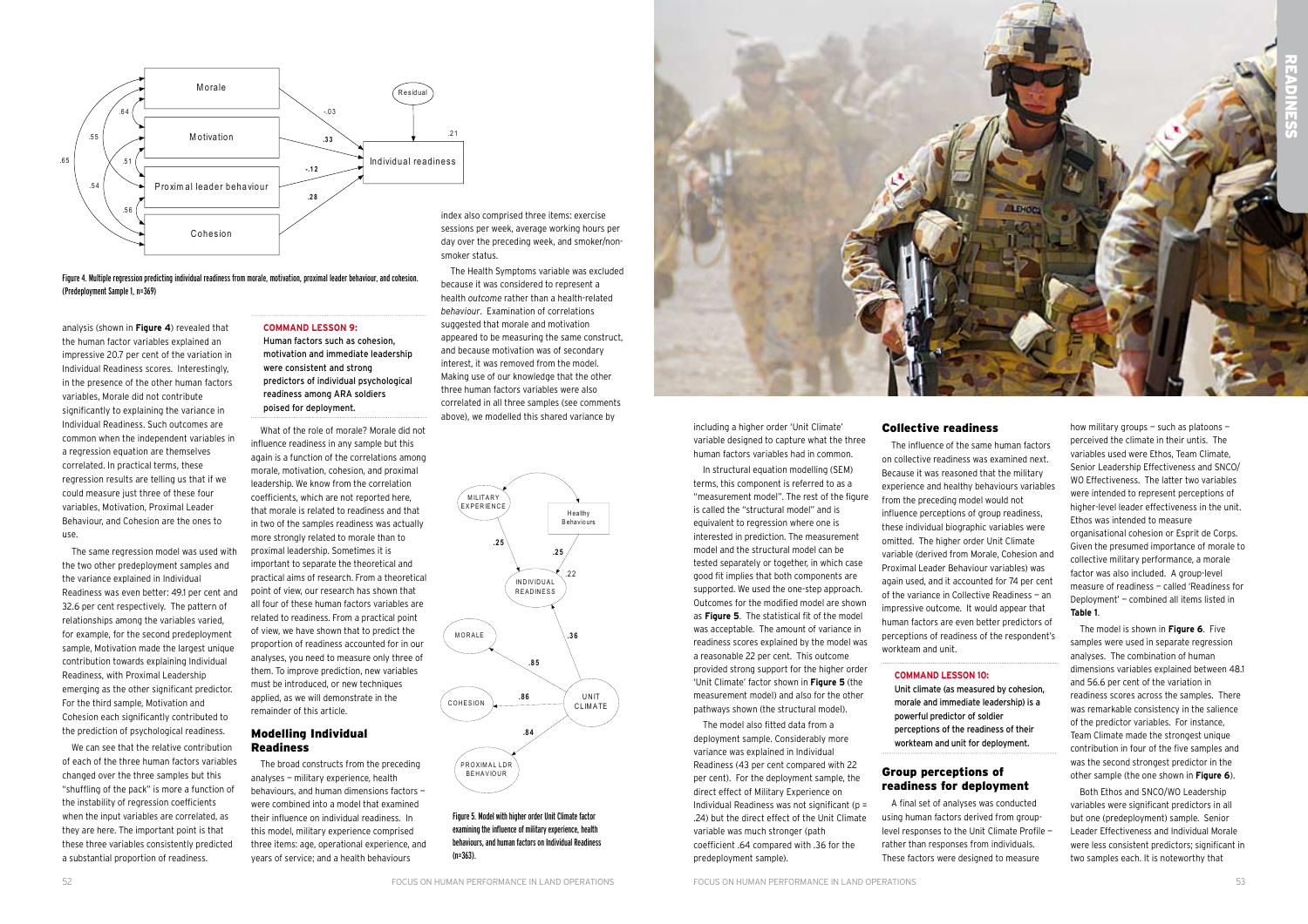including a higher order 'Unit Climate' variable designed to capture what the three human factors variables had in common.

In structural equation modelling (SEM) terms, this component is referred to as a "measurement model". The rest of the figure is called the "structural model" and is equivalent to regression where one is interested in prediction. The measurement model and the structural model can be tested separately or together, in which case good fit implies that both components are supported. We used the one-step approach. Outcomes for the modified model are shown as **Figure 5**. The statistical fit of the model was acceptable. The amount of variance in readiness scores explained by the model was a reasonable 22 per cent. This outcome provided strong support for the higher order 'Unit Climate' factor shown in **Figure 5** (the measurement model) and also for the other pathways shown (the structural model).

The model also fitted data from a deployment sample. Considerably more variance was explained in Individual Readiness (43 per cent compared with 22 per cent). For the deployment sample, the direct effect of Military Experience on Individual Readiness was not significant (p = .24) but the direct effect of the Unit Climate variable was much stronger (path coefficient .64 compared with .36 for the predeployment sample).

### Collective readiness

The influence of the same human factors on collective readiness was examined next. Because it was reasoned that the military experience and healthy behaviours variables from the preceding model would not influence perceptions of group readiness, these individual biographic variables were omitted. The higher order Unit Climate variable (derived from Morale, Cohesion and Proximal Leader Behaviour variables) was again used, and it accounted for 74 per cent of the variance in Collective Readiness — an impressive outcome. It would appear that human factors are even better predictors of perceptions of readiness of the respondent's workteam and unit.

### **Command Lesson 10:**

Unit climate (as measured by cohesion, morale and immediate leadership) is a powerful predictor of soldier perceptions of the readiness of their workteam and unit for deployment.

# Group perceptions of readiness for deployment

A final set of analyses was conducted using human factors derived from grouplevel responses to the Unit Climate Profile rather than responses from individuals. These factors were designed to measure

how military groups — such as platoons perceived the climate in their untis. The variables used were Ethos, Team Climate, Senior Leadership Effectiveness and SNCO/ WO Effectiveness. The latter two variables were intended to represent perceptions of higher-level leader effectiveness in the unit. Ethos was intended to measure organisational cohesion or Esprit de Corps. Given the presumed importance of morale to collective military performance, a morale factor was also included. A group-level measure of readiness — called 'Readiness for Deployment' — combined all items listed in **Table 1**.

The model is shown in **Figure 6**. Five samples were used in separate regression analyses. The combination of human dimensions variables explained between 48.1 and 56.6 per cent of the variation in readiness scores across the samples. There was remarkable consistency in the salience of the predictor variables. For instance, Team Climate made the strongest unique contribution in four of the five samples and was the second strongest predictor in the other sample (the one shown in **Figure 6**).

Both Ethos and SNCO/WO Leadership variables were significant predictors in all but one (predeployment) sample. Senior Leader Effectiveness and Individual Morale were less consistent predictors; significant in two samples each. It is noteworthy that



Figure 5. Model with higher order Unit Climate factor examining the influence of military experience, health behaviours, and human factors on Individual Readiness (n=363).

analysis (shown in **Figure 4**) revealed that the human factor variables explained an impressive 20.7 per cent of the variation in Individual Readiness scores. Interestingly, in the presence of the other human factors variables, Morale did not contribute significantly to explaining the variance in Individual Readiness. Such outcomes are common when the independent variables in a regression equation are themselves correlated. In practical terms, these regression results are telling us that if we could measure just three of these four variables, Motivation, Proximal Leader Behaviour, and Cohesion are the ones to use.

The same regression model was used with the two other predeployment samples and the variance explained in Individual Readiness was even better: 49.1 per cent and 32.6 per cent respectively. The pattern of relationships among the variables varied, for example, for the second predeployment sample, Motivation made the largest unique contribution towards explaining Individual Readiness, with Proximal Leadership emerging as the other significant predictor. For the third sample, Motivation and Cohesion each significantly contributed to the prediction of psychological readiness.



We can see that the relative contribution of each of the three human factors variables changed over the three samples but this "shuffling of the pack" is more a function of the instability of regression coefficients when the input variables are correlated, as they are here. The important point is that these three variables consistently predicted a substantial proportion of readiness.

### **Command Lesson 9:**

Human factors such as cohesion, motivation and immediate leadership were consistent and strong predictors of individual psychological readiness among ARA soldiers poised for deployment.

What of the role of morale? Morale did not influence readiness in any sample but this again is a function of the correlations among morale, motivation, cohesion, and proximal leadership. We know from the correlation coefficients, which are not reported here, that morale is related to readiness and that in two of the samples readiness was actually more strongly related to morale than to proximal leadership. Sometimes it is important to separate the theoretical and practical aims of research. From a theoretical point of view, our research has shown that all four of these human factors variables are related to readiness. From a practical point of view, we have shown that to predict the proportion of readiness accounted for in our analyses, you need to measure only three of them. To improve prediction, new variables must be introduced, or new techniques applied, as we will demonstrate in the remainder of this article.

### Modelling Individual Readiness

The broad constructs from the preceding analyses — military experience, health behaviours, and human dimensions factors were combined into a model that examined their influence on individual readiness. In this model, military experience comprised three items: age, operational experience, and years of service; and a health behaviours

Figure 4. Multiple regression predicting individual readiness from morale, motivation, proximal leader behaviour, and cohesion. (Predeployment Sample 1, n=369)

sessions per week, average working hours per day over the preceding week, and smoker/nonsmoker status. The Health Symptoms variable was excluded because it was considered to represent a

health *outcome* rather than a health-related *behaviour*. Examination of correlations suggested that morale and motivation appeared to be measuring the same construct, and because motivation was of secondary interest, it was removed from the model. Making use of our knowledge that the other three human factors variables were also correlated in all three samples (see comments above), we modelled this shared variance by